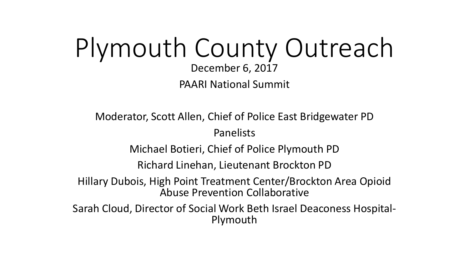## Plymouth County Outreach December 6, 2017 PAARI National Summit

Moderator, Scott Allen, Chief of Police East Bridgewater PD

Panelists

Michael Botieri, Chief of Police Plymouth PD

Richard Linehan, Lieutenant Brockton PD

Hillary Dubois, High Point Treatment Center/Brockton Area Opioid Abuse Prevention Collaborative

Sarah Cloud, Director of Social Work Beth Israel Deaconess Hospital- Plymouth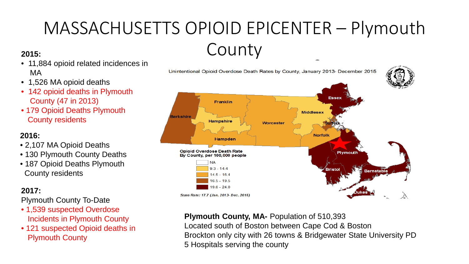# MASSACHUSETTS OPIOID EPICENTER – Plymouth **2015:** County



- 11,884 opioid related incidences in MA
- 1,526 MA opioid deaths
- 142 opioid deaths in Plymouth County (47 in 2013)
- 179 Opioid Deaths Plymouth County residents

### **2016:**

- 2,107 MA Opioid Deaths
- 130 Plymouth County Deaths
- 187 Opioid Deaths Plymouth County residents

### **2017:**

Plymouth County To-Date

- 1,539 suspected Overdose Incidents in Plymouth County
- 121 suspected Opioid deaths in Plymouth County

#### **Plymouth County, MA-** Population of 510,393

Located south of Boston between Cape Cod & Boston Brockton only city with 26 towns & Bridgewater State University PD 5 Hospitals serving the county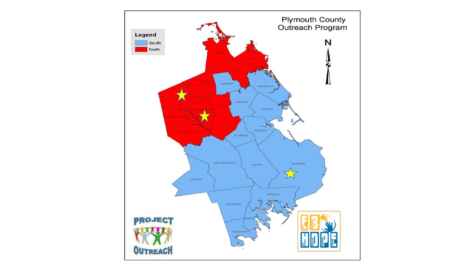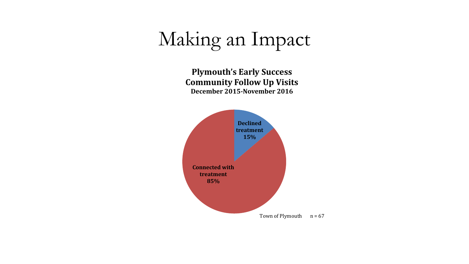# Making an Impact

**Plymouth's Early Success Community Follow Up Visits December 2015-November 2016**

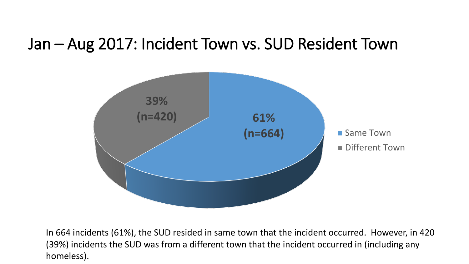### Jan – Aug 2017: Incident Town vs. SUD Resident Town



In 664 incidents (61%), the SUD resided in same town that the incident occurred. However, in 420 (39%) incidents the SUD was from a different town that the incident occurred in (including any homeless).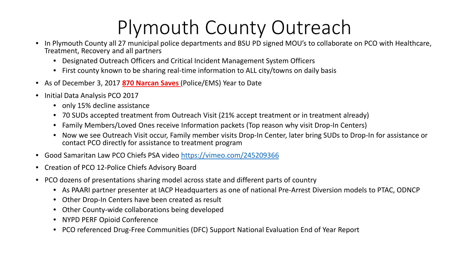# Plymouth County Outreach

- In Plymouth County all 27 municipal police departments and BSU PD signed MOU's to collaborate on PCO with Healthcare, Treatment, Recovery and all partners
	- Designated Outreach Officers and Critical Incident Management System Officers
	- First county known to be sharing real-time information to ALL city/towns on daily basis
- As of December 3, 2017 **870 Narcan Saves** (Police/EMS) Year to Date
- Initial Data Analysis PCO 2017
	- only 15% decline assistance
	- 70 SUDs accepted treatment from Outreach Visit (21% accept treatment or in treatment already)
	- Family Members/Loved Ones receive Information packets (Top reason why visit Drop-In Centers)
	- Now we see Outreach Visit occur, Family member visits Drop-In Center, later bring SUDs to Drop-In for assistance or contact PCO directly for assistance to treatment program
- Good Samaritan Law PCO Chiefs PSA video <https://vimeo.com/245209366>
- Creation of PCO 12-Police Chiefs Advisory Board
- PCO dozens of presentations sharing model across state and different parts of country
	- As PAARI partner presenter at IACP Headquarters as one of national Pre-Arrest Diversion models to PTAC, ODNCP
	- Other Drop-In Centers have been created as result
	- Other County-wide collaborations being developed
	- NYPD PERF Opioid Conference
	- PCO referenced Drug-Free Communities (DFC) Support National Evaluation End of Year Report